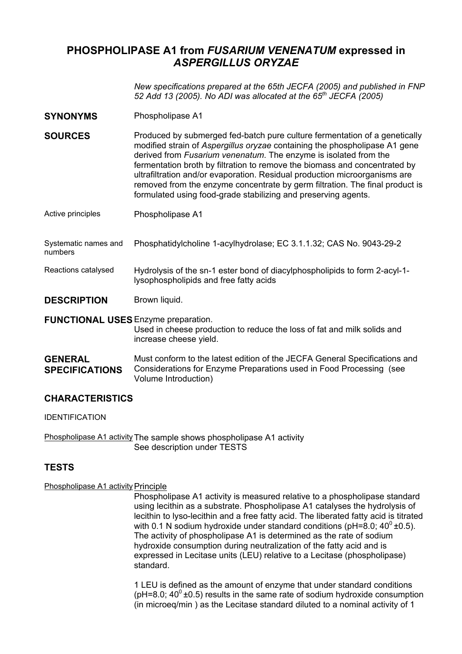# **PHOSPHOLIPASE A1 from** *FUSARIUM VENENATUM* **expressed in**  *ASPERGILLUS ORYZAE*

*New specifications prepared at the 65th JECFA (2005) and published in FNP 52 Add 13 (2005). No ADI was allocated at the 65th JECFA (2005)*

**SYNONYMS** Phospholipase A1

**SOURCES** Produced by submerged fed-batch pure culture fermentation of a genetically modified strain of *Aspergillus oryzae* containing the phospholipase A1 gene derived from *Fusarium venenatum*. The enzyme is isolated from the fermentation broth by filtration to remove the biomass and concentrated by ultrafiltration and/or evaporation. Residual production microorganisms are removed from the enzyme concentrate by germ filtration. The final product is formulated using food-grade stabilizing and preserving agents.

- Active principles Phospholipase A1
- Systematic names and numbers Phosphatidylcholine 1-acylhydrolase; EC 3.1.1.32; CAS No. 9043-29-2
- Reactions catalysed Hydrolysis of the sn-1 ester bond of diacylphospholipids to form 2-acyl-1 lysophospholipids and free fatty acids
- **DESCRIPTION** Brown liquid.

**FUNCTIONAL USES** Enzyme preparation.

Used in cheese production to reduce the loss of fat and milk solids and increase cheese yield.

#### **GENERAL SPECIFICATIONS** Must conform to the latest edition of the JECFA General Specifications and Considerations for Enzyme Preparations used in Food Processing (see Volume Introduction)

## **CHARACTERISTICS**

IDENTIFICATION

Phospholipase A1 activity The sample shows phospholipase A1 activity See description under TESTS

# **TESTS**

### Phospholipase A1 activity Principle

Phospholipase A1 activity is measured relative to a phospholipase standard using lecithin as a substrate. Phospholipase A1 catalyses the hydrolysis of lecithin to lyso-lecithin and a free fatty acid. The liberated fatty acid is titrated with 0.1 N sodium hydroxide under standard conditions (pH=8.0;  $40^0 \pm 0.5$ ). The activity of phospholipase A1 is determined as the rate of sodium hydroxide consumption during neutralization of the fatty acid and is expressed in Lecitase units (LEU) relative to a Lecitase (phospholipase) standard.

1 LEU is defined as the amount of enzyme that under standard conditions ( $pH=8.0$ ; 40<sup>0</sup> ±0.5) results in the same rate of sodium hydroxide consumption (in microeq/min ) as the Lecitase standard diluted to a nominal activity of 1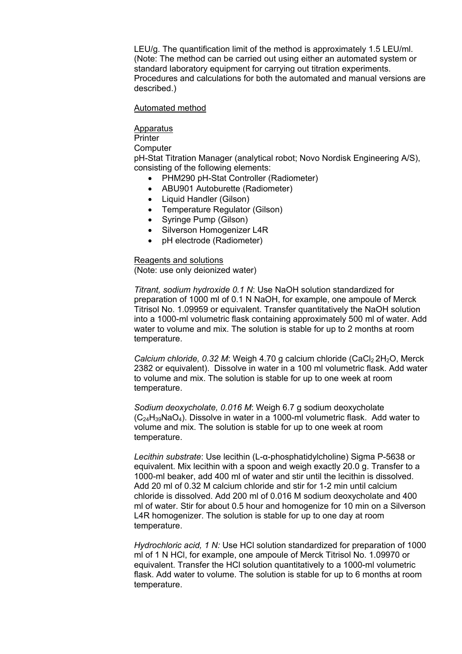LEU/g. The quantification limit of the method is approximately 1.5 LEU/ml. (Note: The method can be carried out using either an automated system or standard laboratory equipment for carrying out titration experiments. Procedures and calculations for both the automated and manual versions are described.)

#### Automated method

#### Apparatus

**Printer** 

**Computer** 

pH-Stat Titration Manager (analytical robot; Novo Nordisk Engineering A/S), consisting of the following elements:

- PHM290 pH-Stat Controller (Radiometer)
- ABU901 Autoburette (Radiometer)
- Liquid Handler (Gilson)
- Temperature Regulator (Gilson)
- Syringe Pump (Gilson)
- Silverson Homogenizer L4R
- pH electrode (Radiometer)

Reagents and solutions (Note: use only deionized water)

*Titrant, sodium hydroxide 0.1 N*: Use NaOH solution standardized for preparation of 1000 ml of 0.1 N NaOH, for example, one ampoule of Merck Titrisol No. 1.09959 or equivalent. Transfer quantitatively the NaOH solution into a 1000-ml volumetric flask containing approximately 500 ml of water. Add water to volume and mix. The solution is stable for up to 2 months at room temperature.

*Calcium chloride, 0.32 M*: Weigh 4.70 g calcium chloride (CaCl<sub>2</sub> 2H<sub>2</sub>O, Merck 2382 or equivalent). Dissolve in water in a 100 ml volumetric flask. Add water to volume and mix. The solution is stable for up to one week at room temperature.

*Sodium deoxycholate, 0.016 M*: Weigh 6.7 g sodium deoxycholate  $(C_{24}H_{39}NaO_4)$ . Dissolve in water in a 1000-ml volumetric flask. Add water to volume and mix. The solution is stable for up to one week at room temperature.

*Lecithin substrate*: Use lecithin (L-α-phosphatidylcholine) Sigma P-5638 or equivalent. Mix lecithin with a spoon and weigh exactly 20.0 g. Transfer to a 1000-ml beaker, add 400 ml of water and stir until the lecithin is dissolved. Add 20 ml of 0.32 M calcium chloride and stir for 1-2 min until calcium chloride is dissolved. Add 200 ml of 0.016 M sodium deoxycholate and 400 ml of water. Stir for about 0.5 hour and homogenize for 10 min on a Silverson L4R homogenizer. The solution is stable for up to one day at room temperature.

*Hydrochloric acid, 1 N:* Use HCl solution standardized for preparation of 1000 ml of 1 N HCl, for example, one ampoule of Merck Titrisol No. 1.09970 or equivalent. Transfer the HCl solution quantitatively to a 1000-ml volumetric flask. Add water to volume. The solution is stable for up to 6 months at room temperature.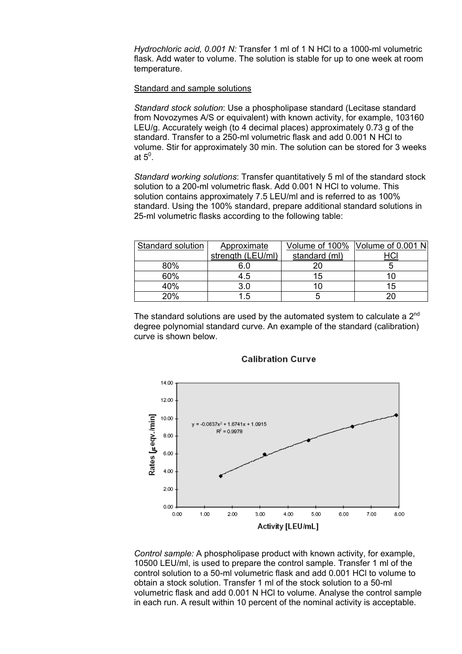*Hydrochloric acid, 0.001 N:* Transfer 1 ml of 1 N HCl to a 1000-ml volumetric flask. Add water to volume. The solution is stable for up to one week at room temperature.

#### Standard and sample solutions

*Standard stock solution*: Use a phospholipase standard (Lecitase standard from Novozymes A/S or equivalent) with known activity, for example, 103160 LEU/g. Accurately weigh (to 4 decimal places) approximately 0.73 g of the standard. Transfer to a 250-ml volumetric flask and add 0.001 N HCl to volume. Stir for approximately 30 min. The solution can be stored for 3 weeks at  $5^\mathrm{o}$ .

*Standard working solutions*: Transfer quantitatively 5 ml of the standard stock solution to a 200-ml volumetric flask. Add 0.001 N HCl to volume. This solution contains approximately 7.5 LEU/ml and is referred to as 100% standard. Using the 100% standard, prepare additional standard solutions in 25-ml volumetric flasks according to the following table:

| Standard solution | Approximate       | Volume of 100% | Volume of $0.001$ N |
|-------------------|-------------------|----------------|---------------------|
|                   | strength (LEU/ml) | standard (ml)  |                     |
| 80%               | 6.0               |                |                     |
| 60%               | 4.5               | 15             |                     |
| 40%               | 3.0               |                | 15                  |
| 20%               | ∣.5               |                |                     |

The standard solutions are used by the automated system to calculate a  $2^{nd}$ degree polynomial standard curve. An example of the standard (calibration) curve is shown below.



#### **Calibration Curve**

*Control sample:* A phospholipase product with known activity, for example, 10500 LEU/ml, is used to prepare the control sample. Transfer 1 ml of the control solution to a 50-ml volumetric flask and add 0.001 HCl to volume to obtain a stock solution. Transfer 1 ml of the stock solution to a 50-ml volumetric flask and add 0.001 N HCl to volume. Analyse the control sample in each run. A result within 10 percent of the nominal activity is acceptable.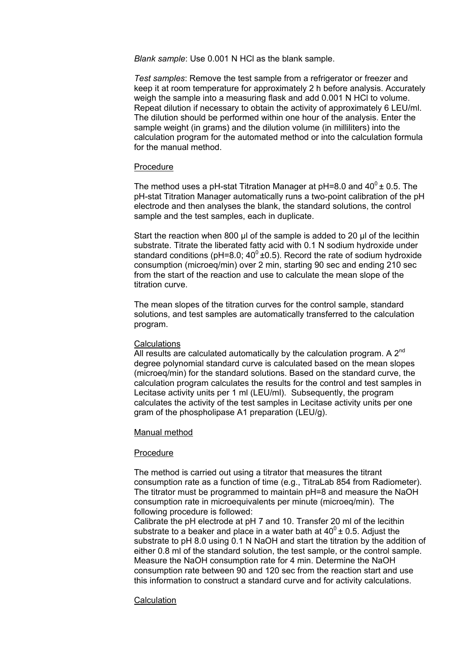*Blank sample*: Use 0.001 N HCl as the blank sample.

*Test samples*: Remove the test sample from a refrigerator or freezer and keep it at room temperature for approximately 2 h before analysis. Accurately weigh the sample into a measuring flask and add 0.001 N HCl to volume. Repeat dilution if necessary to obtain the activity of approximately 6 LEU/ml. The dilution should be performed within one hour of the analysis. Enter the sample weight (in grams) and the dilution volume (in milliliters) into the calculation program for the automated method or into the calculation formula for the manual method.

#### **Procedure**

The method uses a pH-stat Titration Manager at pH=8.0 and  $40^{\circ}$  ± 0.5. The pH-stat Titration Manager automatically runs a two-point calibration of the pH electrode and then analyses the blank, the standard solutions, the control sample and the test samples, each in duplicate.

Start the reaction when 800 µl of the sample is added to 20 µl of the lecithin substrate. Titrate the liberated fatty acid with 0.1 N sodium hydroxide under standard conditions (pH=8.0;  $40^0 \pm 0.5$ ). Record the rate of sodium hydroxide consumption (microeq/min) over 2 min, starting 90 sec and ending 210 sec from the start of the reaction and use to calculate the mean slope of the titration curve.

The mean slopes of the titration curves for the control sample, standard solutions, and test samples are automatically transferred to the calculation program.

#### **Calculations**

All results are calculated automatically by the calculation program. A  $2^{nd}$ degree polynomial standard curve is calculated based on the mean slopes (microeq/min) for the standard solutions. Based on the standard curve, the calculation program calculates the results for the control and test samples in Lecitase activity units per 1 ml (LEU/ml). Subsequently, the program calculates the activity of the test samples in Lecitase activity units per one gram of the phospholipase A1 preparation (LEU/g).

#### Manual method

### Procedure

The method is carried out using a titrator that measures the titrant consumption rate as a function of time (e.g., TitraLab 854 from Radiometer). The titrator must be programmed to maintain pH=8 and measure the NaOH consumption rate in microequivalents per minute (microeq/min). The following procedure is followed:

Calibrate the pH electrode at pH 7 and 10. Transfer 20 ml of the lecithin substrate to a beaker and place in a water bath at  $40^{\circ}$  ± 0.5. Adjust the substrate to pH 8.0 using 0.1 N NaOH and start the titration by the addition of either 0.8 ml of the standard solution, the test sample, or the control sample. Measure the NaOH consumption rate for 4 min. Determine the NaOH consumption rate between 90 and 120 sec from the reaction start and use this information to construct a standard curve and for activity calculations.

### **Calculation**